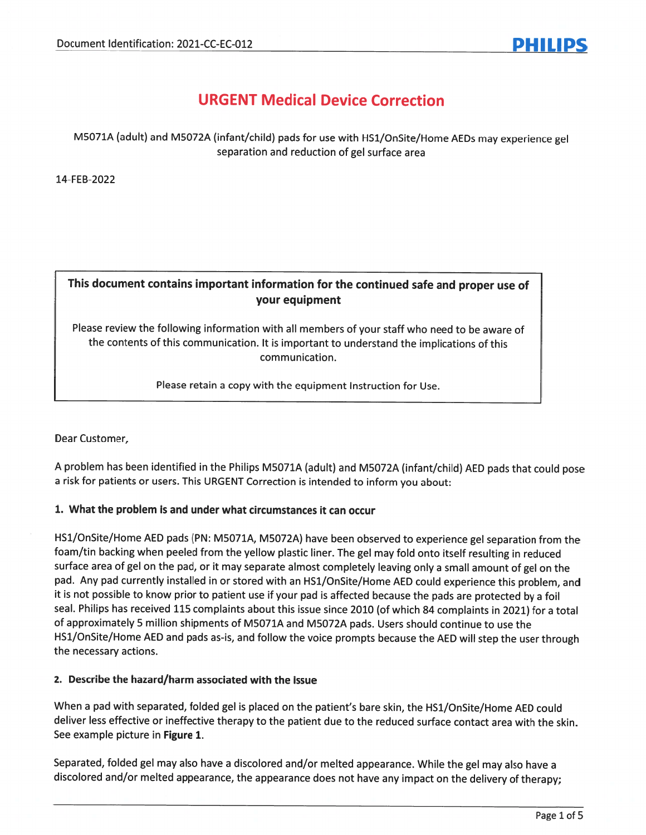# URGENT Medical Device Correction

## M5071A (adult) and M5072A (infant/child) pads for use with HS1/OnSite/Home AEDs may experience ge<sup>l</sup> separation and reduction of gel surface area

14-FEB-2022

# This document contains important information for the continued safe and proper use of your equipment

Please review the following information with all members of your staff who need to be aware of the contents of this communication. It is important to understand the implications of this communication.

Please retain <sup>a</sup> copy with the equipment Instruction for Use.

Dear Customer,

<sup>A</sup> problem has been identified in the Philips M5071A (adult) and M5072A (infant/child) AED pads that could pose <sup>a</sup> risk for patients or users. This URGENT Correction is intended to inform you about:

#### 1. What the problem is and under what circumstances it can occur

HS1/OnSite/Home AED pads (PN: M5071A, M5072A) have been observed to experience ge<sup>l</sup> separation from the foam/tin backing when peeled from the yellow <sup>p</sup>lastic liner. The ge<sup>l</sup> may fold onto itself resulting in reduced surface area of ge<sup>l</sup> on the pad, or it may separate almost completely leaving only <sup>a</sup> small amount of ge<sup>l</sup> on the pad. Any pa<sup>d</sup> currently installed in or stored with an HS1/OnSite/Home AED could experience this problem, and it is not possible to know prior to patient use if your pa<sup>d</sup> is affected because the pads are protected by <sup>a</sup> foil seal. Philips has received <sup>115</sup> complaints about this issue since <sup>2010</sup> (of which <sup>84</sup> complaints in 2021) for <sup>a</sup> total of approximately <sup>5</sup> million shipments of M5071A and M5072A pads. Users should continue to use the HS1/OnSite/Home AED and pads as-is, and follow the voice prompts because the AED will step the user through the necessary actions.

#### 2. Describe the hazard/harm associated with the issue

When <sup>a</sup> pa<sup>d</sup> with separated, folded ge<sup>l</sup> is <sup>p</sup>laced on the patient's bare skin, the HS1/OnSite/Home AED could deliver less effective or ineffective therapy to the patient due to the reduced surface contact area with the skin. See example picture in Figure 1.

Separated, folded ge<sup>l</sup> may also have <sup>a</sup> discolored and/or melted appearance. While the ge<sup>l</sup> may also have <sup>a</sup> discolored and/or melted appearance, the appearance does not have any impact on the delivery of therapy;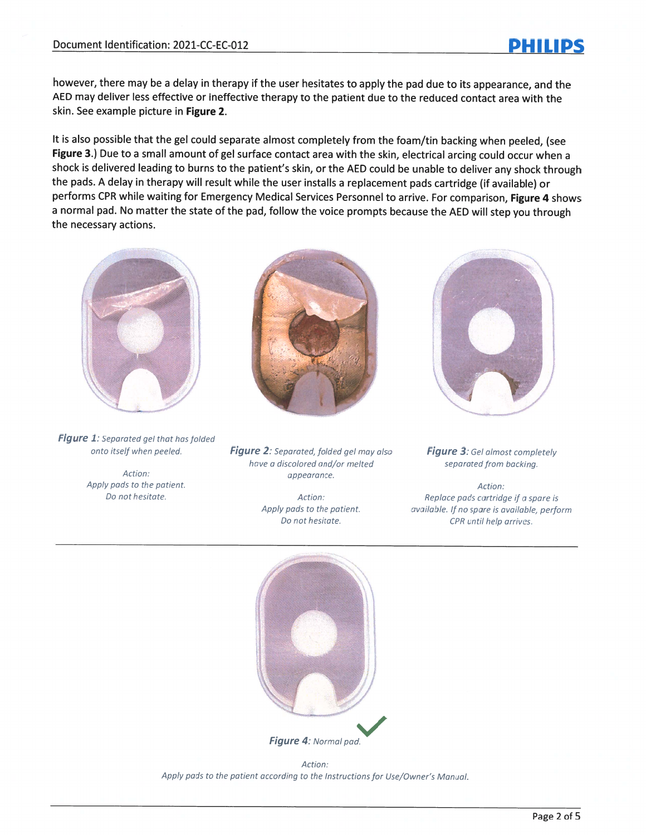however, there may be <sup>a</sup> delay in therapy if the user hesitates to apply the pa<sup>d</sup> due to its appearance, and the AED may deliver less effective or ineffective therapy to the patient due to the reduced contact area with the skin. See example picture in Figure 2.

It is also possible that the ge<sup>l</sup> could separate almost completely from the foam/tin backing when peeled, (see Figure 3.) Due to a small amount of gel surface contact area with the skin, electrical arcing could occur when a shock is delivered leading to burns to the patient's skin, or the AED could be unable to deliver any shock through the pads. <sup>A</sup> delay in therapy will result while the user installs <sup>a</sup> replacement pads cartridge (if available) or performs CPR while waiting for Emergency Medical Services Personnel to arrive. For comparison, Figure 4 shows <sup>a</sup> normal pad. No matter the state of the pad, follow the voice prompts because the AED will step you through the necessary actions.



Figure 1: Separated gel that has folded

Action: Apply pads to the patient. Do not hesitate. Action:



onto itself when peeled.  $Figure 2$ : Separated, folded gel may also have <sup>a</sup> discolored and/or melted appearance.

> Apply pads to the patient. Do not hesitate.

Figure 3: Gel almost completely separated from backing.

Action: Rep/ace pads cartridge if <sup>a</sup> spare is available. If no spare is available, perform CPR until help arrives.



Figure 4: Normal pad.

Action: Apply pads to the patient according to the Instructions for Use/Owner's Manual.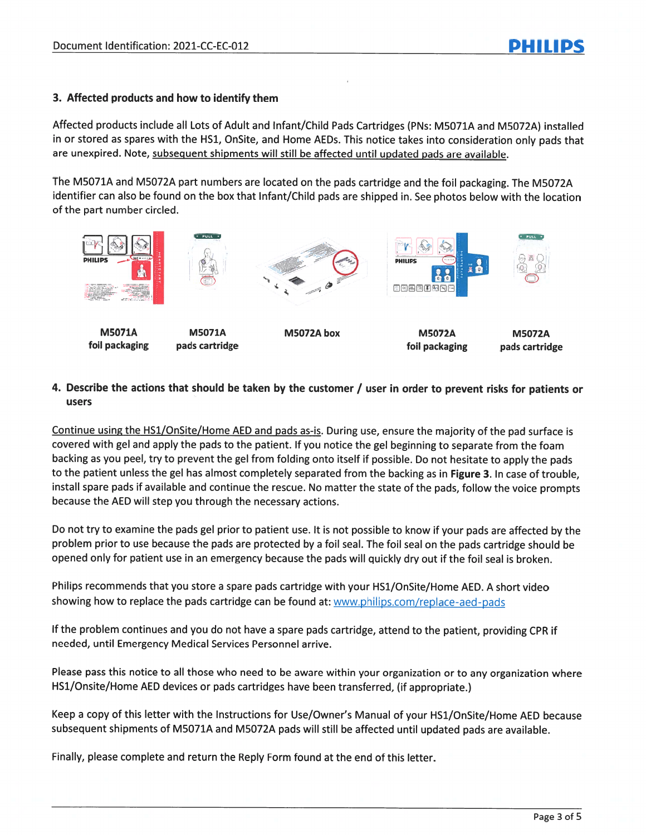### 3. Affected products and how to identify them

Affected products include all Lots of Adult and Infant/Child Pads Cartridges (PN5: M5071A and M5072A) installed in or stored as spares with the HS1, OnSite, and Home AEDs. This notice takes into consideration only pads that are unexpired. Note, subsequent shipments will still be affected until updated pads are available.

The M5071A and M5072A par<sup>t</sup> numbers are located on the pads cartridge and the foil packaging. The M5072A identifier can also be found on the box that Infant/Child pads are shipped in. See <sup>p</sup>hotos below with the location of the par<sup>t</sup> number circled.



#### 4. Describe the actions that should be taken by the customer / user in order to prevent risks for patients or users

Continue using the HS1/OnSite/Home AED and pads as-is. During use, ensure the majority of the pa<sup>d</sup> surface is covered with ge<sup>l</sup> and apply the pads to the patient. If you notice the ge<sup>l</sup> beginning to separate from the foam backing as you peel, try to preven<sup>t</sup> the ge<sup>l</sup> from folding onto itself if possible. Do not hesitate to apply the pads to the patient unless the gel has almost completely separated from the backing as in Figure 3. In case of trouble, install spare pads if available and continue the rescue. No matter the state of the pads, follow the voice prompts because the AED will step you through the necessary actions.

Do not try to examine the pads ge<sup>l</sup> prior to patient use. It is not possible to know if your pads are affected by the problem prior to use because the pads are protected by <sup>a</sup> foil seal. The foil seal on the pads cartridge should be opene<sup>d</sup> only for patient use in an emergency because the pads will quickly dry out if the foil seal is broken.

Philips recommends that you store <sup>a</sup> spare pads cartridge with your HS1/OnSite/Home AED. <sup>A</sup> short video showing how to replace the pads cartridge can be found at: www.philips.com/replace-aed-pads

If the problem continues and you do not have <sup>a</sup> spare pads cartridge, attend to the patient, providing CPR if needed, until Emergency Medical Services Personnel arrive.

Please pass this notice to all those who need to be aware within your organization or to any organization where HS1/Onsite/Home AED devices or pads cartridges have been transferred, (if appropriate.)

Keep <sup>a</sup> copy of this letter with the Instructions for Use/Owner's Manual of your HS1/OnSite/Home AED because subsequent shipments of M5071A and M5072A pads will still be affected until updated pads are available.

Finally, please complete and return the Reply Form found at the end of this letter.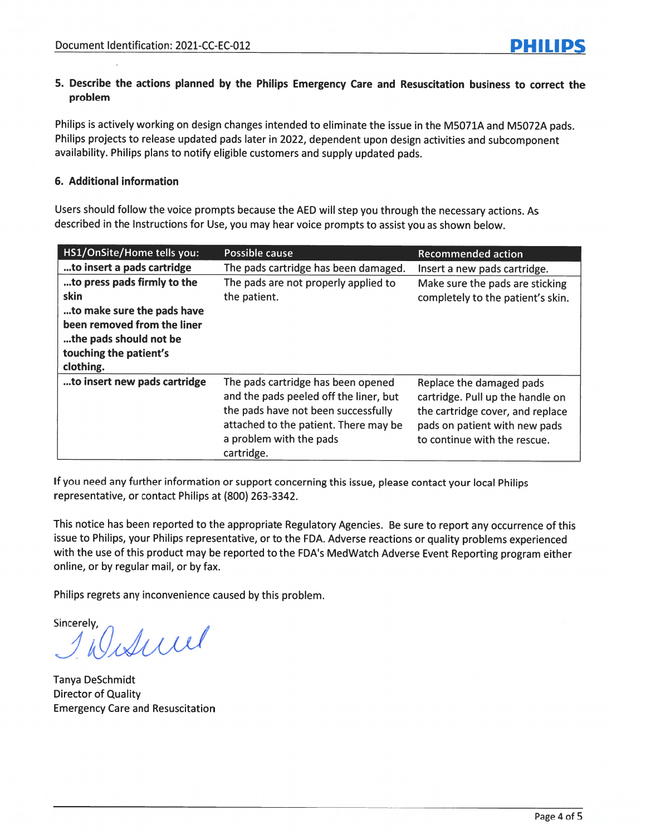### 5. Describe the actions planned by the Philips Emergency Care and Resuscitation business to correct the problem

Philips is actively working on design changes intended to eliminate the issue in the M5071A and M5072A pads. Philips projects to release updated pads later in 2022, dependent upon design activities and subcomponent availability. Philips <sup>p</sup>lans to notify eligible customers and supply updated pads.

#### 6. Additional information

Users should follow the voice prompts because the AED will step you through the necessary actions. As described in the Instructions for Use, you may hear voice prompts to assist you as shown below.

| HS1/OnSite/Home tells you:                                                                                                                                        | Possible cause                                                                                                                                                                                        | <b>Recommended action</b>                                                                                                                                         |
|-------------------------------------------------------------------------------------------------------------------------------------------------------------------|-------------------------------------------------------------------------------------------------------------------------------------------------------------------------------------------------------|-------------------------------------------------------------------------------------------------------------------------------------------------------------------|
| to insert a pads cartridge                                                                                                                                        | The pads cartridge has been damaged.                                                                                                                                                                  | Insert a new pads cartridge.                                                                                                                                      |
| to press pads firmly to the<br>skin<br>to make sure the pads have<br>been removed from the liner<br>the pads should not be<br>touching the patient's<br>clothing. | The pads are not properly applied to<br>the patient.                                                                                                                                                  | Make sure the pads are sticking<br>completely to the patient's skin.                                                                                              |
| to insert new pads cartridge                                                                                                                                      | The pads cartridge has been opened<br>and the pads peeled off the liner, but<br>the pads have not been successfully<br>attached to the patient. There may be<br>a problem with the pads<br>cartridge. | Replace the damaged pads<br>cartridge. Pull up the handle on<br>the cartridge cover, and replace<br>pads on patient with new pads<br>to continue with the rescue. |

If you need any further information or suppor<sup>t</sup> concerning this issue, <sup>p</sup>lease contact your local Philips representative, or contact Philips at (800) 263-3342.

This notice has been reported to the appropriate Regulatory Agencies. Be sure to repor<sup>t</sup> any occurrence of this issue to Philips, your Philips representative, or to the FDA. Adverse reactions or quality problems experienced with the use of this product may be reported to the FDA's MedWatch Adverse Event Reporting program either online, or by regular mail, or by fax.

Philips regrets any inconvenience caused by this problem.

Sincerely Isticial

Tanya DeSchmidt Director of Quality Emergency Care and Resuscitation